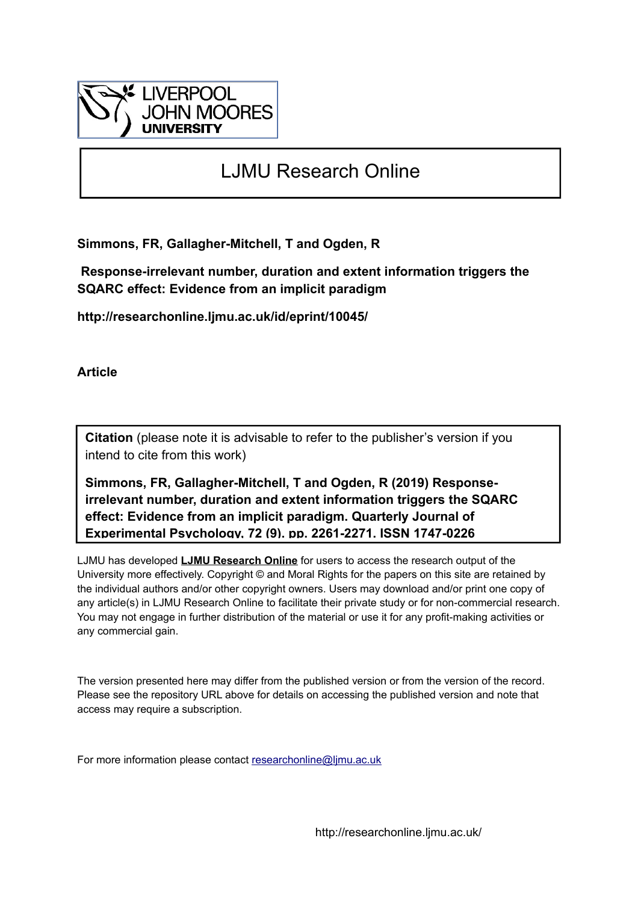

# LJMU Research Online

**Simmons, FR, Gallagher-Mitchell, T and Ogden, R**

 **Response-irrelevant number, duration and extent information triggers the SQARC effect: Evidence from an implicit paradigm**

**http://researchonline.ljmu.ac.uk/id/eprint/10045/**

**Article**

**Citation** (please note it is advisable to refer to the publisher's version if you intend to cite from this work)

**Simmons, FR, Gallagher-Mitchell, T and Ogden, R (2019) Responseirrelevant number, duration and extent information triggers the SQARC effect: Evidence from an implicit paradigm. Quarterly Journal of Experimental Psychology, 72 (9). pp. 2261-2271. ISSN 1747-0226** 

LJMU has developed **[LJMU Research Online](http://researchonline.ljmu.ac.uk/)** for users to access the research output of the University more effectively. Copyright © and Moral Rights for the papers on this site are retained by the individual authors and/or other copyright owners. Users may download and/or print one copy of any article(s) in LJMU Research Online to facilitate their private study or for non-commercial research. You may not engage in further distribution of the material or use it for any profit-making activities or any commercial gain.

The version presented here may differ from the published version or from the version of the record. Please see the repository URL above for details on accessing the published version and note that access may require a subscription.

For more information please contact [researchonline@ljmu.ac.uk](mailto:researchonline@ljmu.ac.uk)

http://researchonline.ljmu.ac.uk/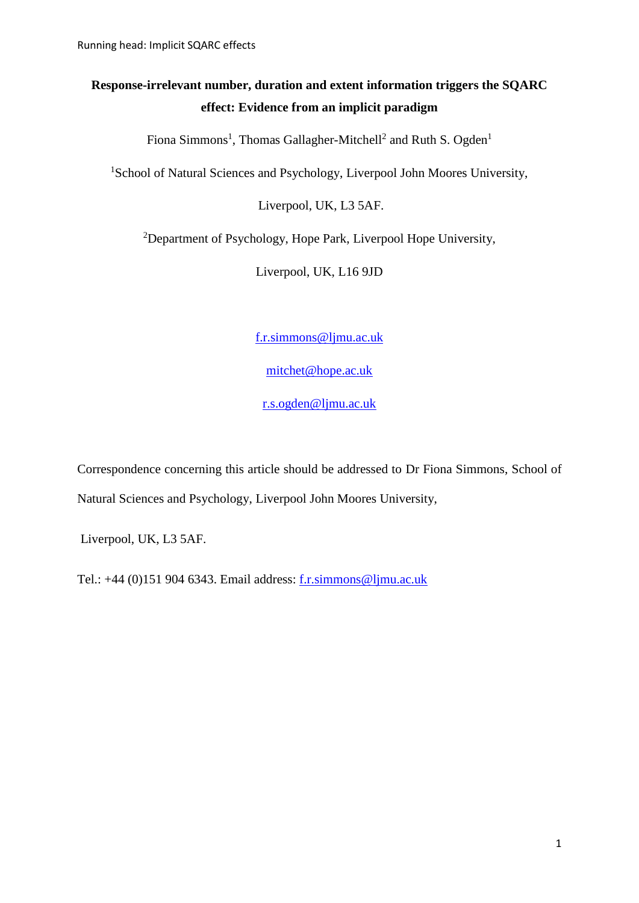## **Response-irrelevant number, duration and extent information triggers the SQARC effect: Evidence from an implicit paradigm**

Fiona Simmons<sup>1</sup>, Thomas Gallagher-Mitchell<sup>2</sup> and Ruth S. Ogden<sup>1</sup>

<sup>1</sup>School of Natural Sciences and Psychology, Liverpool John Moores University,

Liverpool, UK, L3 5AF.

<sup>2</sup>Department of Psychology, Hope Park, Liverpool Hope University,

Liverpool, UK, L16 9JD

[f.r.simmons@ljmu.ac.uk](mailto:f.r.simmons@ljmu.ac.uk)

[mitchet@hope.ac.uk](mailto:mitchet@hope.ac.uk)

[r.s.ogden@ljmu.ac.uk](mailto:r.s.ogden@ljmu.ac.uk)

Correspondence concerning this article should be addressed to Dr Fiona Simmons, School of Natural Sciences and Psychology, Liverpool John Moores University,

Liverpool, UK, L3 5AF.

Tel.: +44 (0)151 904 6343. Email address: [f.r.simmons@ljmu.ac.uk](mailto:f.r.simmons@ljmu.ac.uk)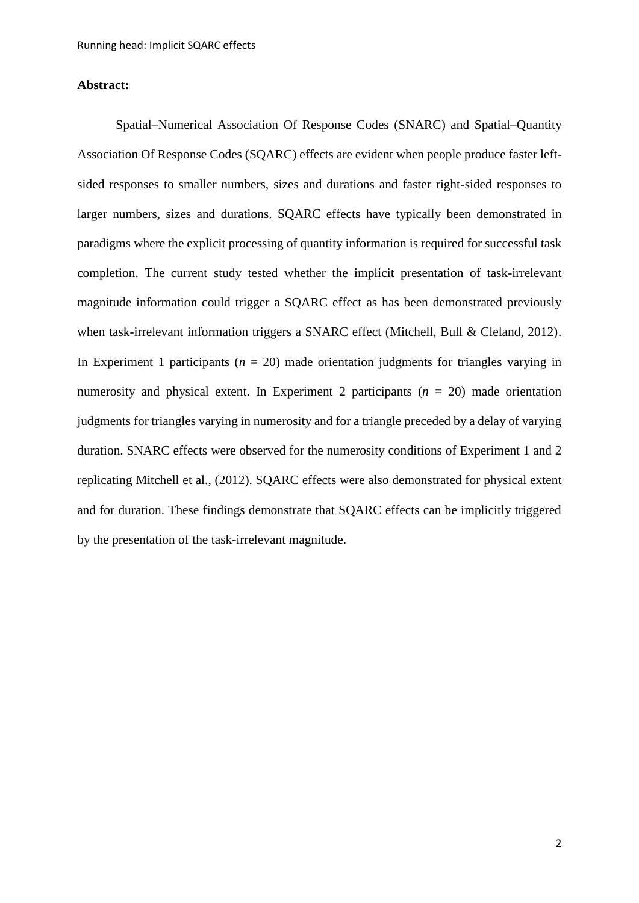## **Abstract:**

Spatial–Numerical Association Of Response Codes (SNARC) and Spatial–Quantity Association Of Response Codes (SQARC) effects are evident when people produce faster leftsided responses to smaller numbers, sizes and durations and faster right-sided responses to larger numbers, sizes and durations. SQARC effects have typically been demonstrated in paradigms where the explicit processing of quantity information is required for successful task completion. The current study tested whether the implicit presentation of task-irrelevant magnitude information could trigger a SQARC effect as has been demonstrated previously when task-irrelevant information triggers a SNARC effect (Mitchell, Bull & Cleland, 2012). In Experiment 1 participants  $(n = 20)$  made orientation judgments for triangles varying in numerosity and physical extent. In Experiment 2 participants (*n* = 20) made orientation judgments for triangles varying in numerosity and for a triangle preceded by a delay of varying duration. SNARC effects were observed for the numerosity conditions of Experiment 1 and 2 replicating Mitchell et al., (2012). SQARC effects were also demonstrated for physical extent and for duration. These findings demonstrate that SQARC effects can be implicitly triggered by the presentation of the task-irrelevant magnitude.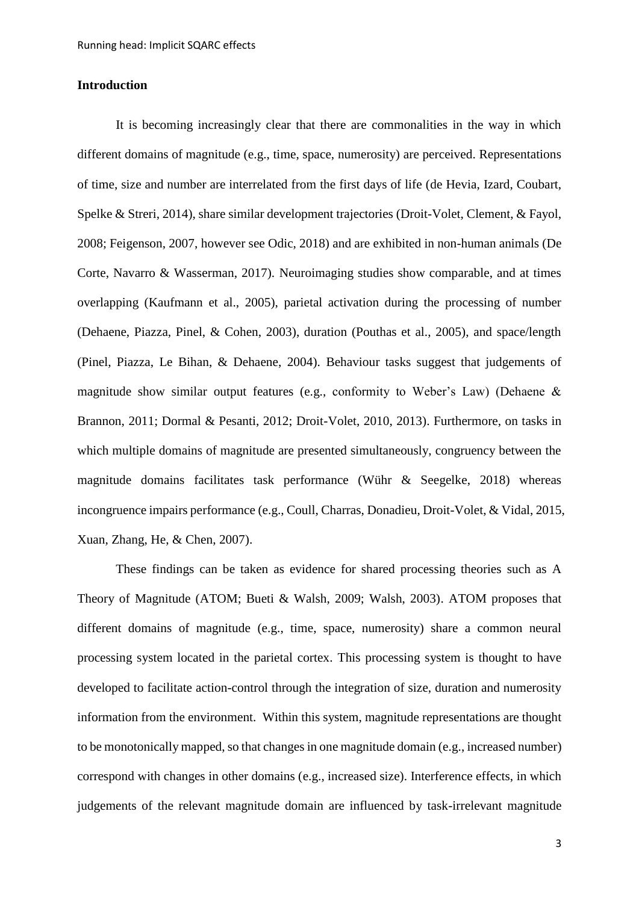## **Introduction**

It is becoming increasingly clear that there are commonalities in the way in which different domains of magnitude (e.g., time, space, numerosity) are perceived. Representations of time, size and number are interrelated from the first days of life (de Hevia, Izard, Coubart, Spelke & Streri, 2014), share similar development trajectories (Droit-Volet, Clement, & Fayol, 2008; Feigenson, 2007, however see Odic, 2018) and are exhibited in non-human animals (De Corte, Navarro & Wasserman, 2017). Neuroimaging studies show comparable, and at times overlapping (Kaufmann et al., 2005), parietal activation during the processing of number (Dehaene, Piazza, Pinel, & Cohen, 2003), duration (Pouthas et al., 2005), and space/length (Pinel, Piazza, Le Bihan, & Dehaene, 2004). Behaviour tasks suggest that judgements of magnitude show similar output features (e.g., conformity to Weber's Law) (Dehaene & Brannon, 2011; Dormal & Pesanti, 2012; Droit-Volet, 2010, 2013). Furthermore, on tasks in which multiple domains of magnitude are presented simultaneously, congruency between the magnitude domains facilitates task performance (Wühr & Seegelke, 2018) whereas incongruence impairs performance (e.g., Coull, Charras, Donadieu, Droit-Volet, & Vidal, 2015, Xuan, Zhang, He, & Chen, 2007).

These findings can be taken as evidence for shared processing theories such as A Theory of Magnitude (ATOM; Bueti & Walsh, 2009; Walsh, 2003). ATOM proposes that different domains of magnitude (e.g., time, space, numerosity) share a common neural processing system located in the parietal cortex. This processing system is thought to have developed to facilitate action-control through the integration of size, duration and numerosity information from the environment. Within this system, magnitude representations are thought to be monotonically mapped, so that changes in one magnitude domain (e.g., increased number) correspond with changes in other domains (e.g., increased size). Interference effects, in which judgements of the relevant magnitude domain are influenced by task-irrelevant magnitude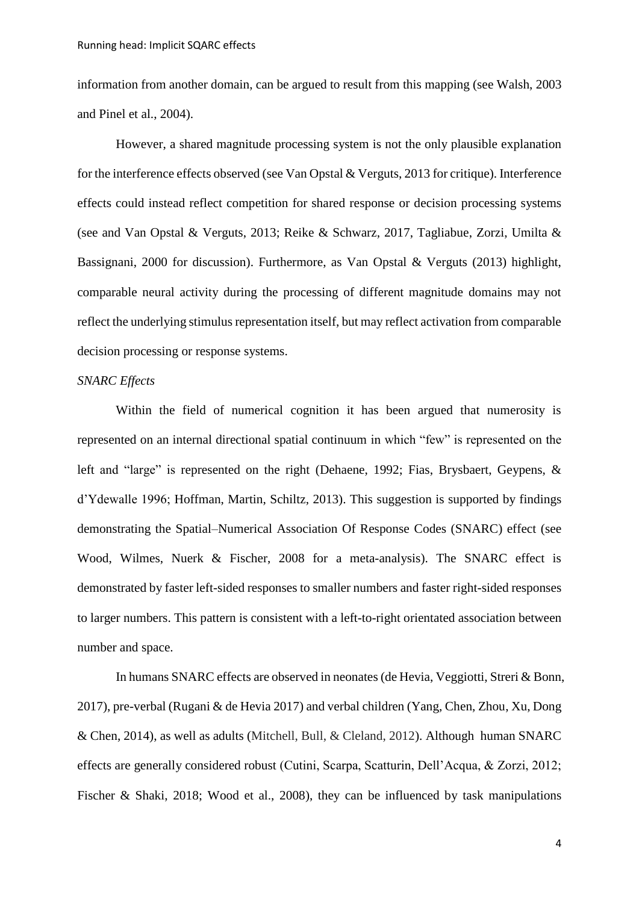information from another domain, can be argued to result from this mapping (see Walsh, 2003 and Pinel et al., 2004).

However, a shared magnitude processing system is not the only plausible explanation for the interference effects observed (see Van Opstal & Verguts, 2013 for critique). Interference effects could instead reflect competition for shared response or decision processing systems (see and Van Opstal & Verguts, 2013; Reike & Schwarz, 2017, Tagliabue, Zorzi, Umilta & Bassignani, 2000 for discussion). Furthermore, as Van Opstal & Verguts (2013) highlight, comparable neural activity during the processing of different magnitude domains may not reflect the underlying stimulus representation itself, but may reflect activation from comparable decision processing or response systems.

## *SNARC Effects*

Within the field of numerical cognition it has been argued that numerosity is represented on an internal directional spatial continuum in which "few" is represented on the left and "large" is represented on the right (Dehaene, 1992; Fias, Brysbaert, Geypens, & d'Ydewalle 1996; Hoffman, Martin, Schiltz, 2013). This suggestion is supported by findings demonstrating the Spatial–Numerical Association Of Response Codes (SNARC) effect (see Wood, Wilmes, Nuerk & Fischer, 2008 for a meta-analysis). The SNARC effect is demonstrated by faster left-sided responses to smaller numbers and faster right-sided responses to larger numbers. This pattern is consistent with a left-to-right orientated association between number and space.

In humans SNARC effects are observed in neonates (de Hevia, Veggiotti, Streri & Bonn, 2017), pre-verbal (Rugani & de Hevia 2017) and verbal children (Yang, Chen, Zhou, Xu, Dong & Chen, 2014), as well as adults (Mitchell, Bull, & Cleland, 2012). Although human SNARC effects are generally considered robust (Cutini, Scarpa, Scatturin, Dell'Acqua, & Zorzi, 2012; Fischer & Shaki, 2018; Wood et al., 2008), they can be influenced by task manipulations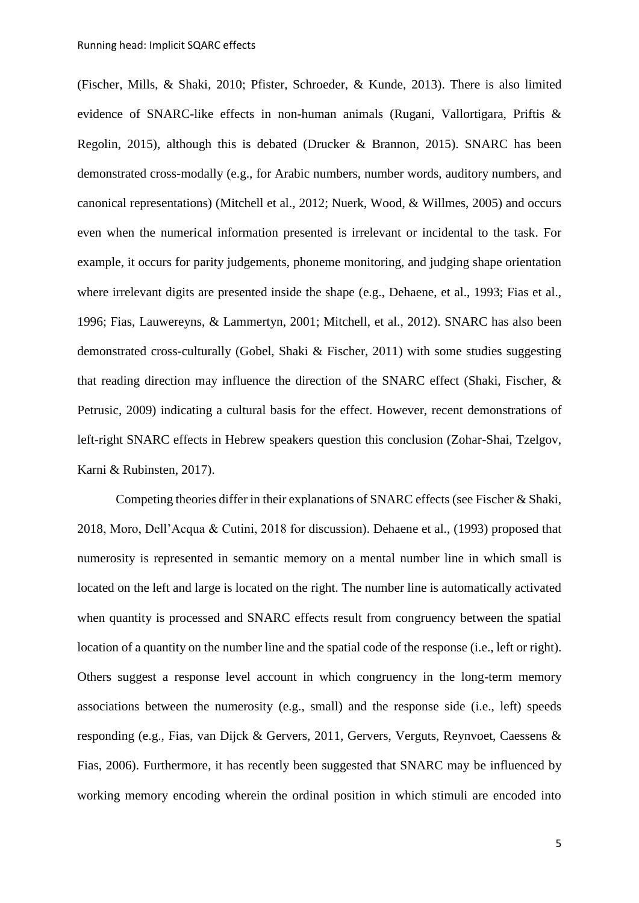(Fischer, Mills, & Shaki, 2010; Pfister, Schroeder, & Kunde, 2013). There is also limited evidence of SNARC-like effects in non-human animals (Rugani, Vallortigara, Priftis & Regolin, 2015), although this is debated (Drucker & Brannon, 2015). SNARC has been demonstrated cross-modally (e.g., for Arabic numbers, number words, auditory numbers, and canonical representations) (Mitchell et al., 2012; Nuerk, Wood, & Willmes, 2005) and occurs even when the numerical information presented is irrelevant or incidental to the task. For example, it occurs for parity judgements, phoneme monitoring, and judging shape orientation where irrelevant digits are presented inside the shape (e.g., Dehaene, et al., 1993; Fias et al., 1996; Fias, Lauwereyns, & Lammertyn, 2001; Mitchell, et al., 2012). SNARC has also been demonstrated cross-culturally (Gobel, Shaki & Fischer, 2011) with some studies suggesting that reading direction may influence the direction of the SNARC effect (Shaki, Fischer, & Petrusic, 2009) indicating a cultural basis for the effect. However, recent demonstrations of left-right SNARC effects in Hebrew speakers question this conclusion (Zohar-Shai, Tzelgov, Karni & Rubinsten, 2017).

Competing theories differ in their explanations of SNARC effects (see Fischer & Shaki, 2018, Moro, Dell'Acqua & Cutini, 2018 for discussion). Dehaene et al., (1993) proposed that numerosity is represented in semantic memory on a mental number line in which small is located on the left and large is located on the right. The number line is automatically activated when quantity is processed and SNARC effects result from congruency between the spatial location of a quantity on the number line and the spatial code of the response (i.e., left or right). Others suggest a response level account in which congruency in the long-term memory associations between the numerosity (e.g., small) and the response side (i.e., left) speeds responding (e.g., Fias, van Dijck & Gervers, 2011, Gervers, Verguts, Reynvoet, Caessens & Fias, 2006). Furthermore, it has recently been suggested that SNARC may be influenced by working memory encoding wherein the ordinal position in which stimuli are encoded into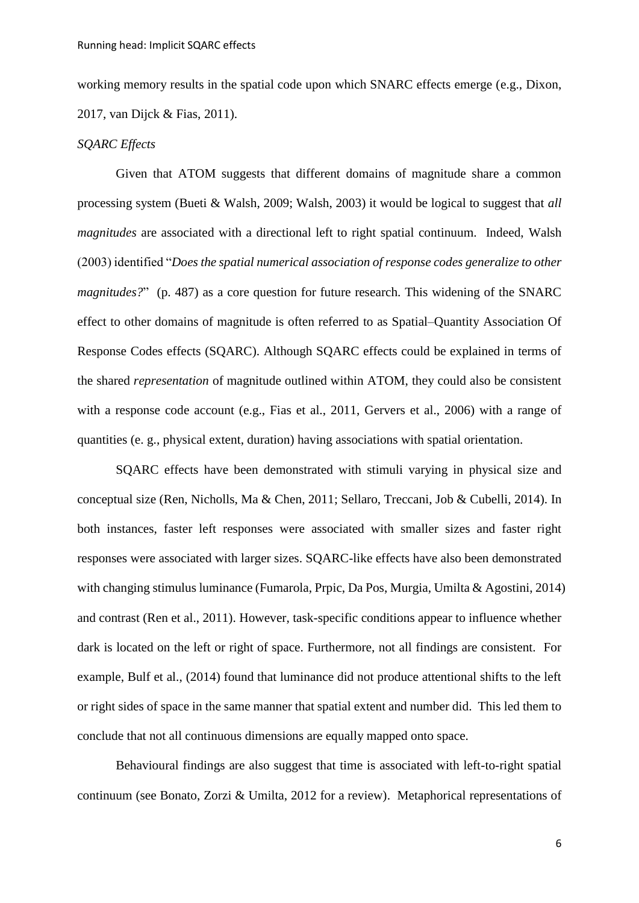working memory results in the spatial code upon which SNARC effects emerge (e.g., Dixon, 2017, van Dijck & Fias, 2011).

#### *SQARC Effects*

Given that ATOM suggests that different domains of magnitude share a common processing system (Bueti & Walsh, 2009; Walsh, 2003) it would be logical to suggest that *all magnitudes* are associated with a directional left to right spatial continuum. Indeed, Walsh (2003) identified "*Does the spatial numerical association of response codes generalize to other magnitudes?*" (p. 487) as a core question for future research. This widening of the SNARC effect to other domains of magnitude is often referred to as Spatial–Quantity Association Of Response Codes effects (SQARC). Although SQARC effects could be explained in terms of the shared *representation* of magnitude outlined within ATOM, they could also be consistent with a response code account (e.g., Fias et al., 2011, Gervers et al., 2006) with a range of quantities (e. g., physical extent, duration) having associations with spatial orientation.

SQARC effects have been demonstrated with stimuli varying in physical size and conceptual size (Ren, Nicholls, Ma & Chen, 2011; Sellaro, Treccani, Job & Cubelli, 2014). In both instances, faster left responses were associated with smaller sizes and faster right responses were associated with larger sizes. SQARC-like effects have also been demonstrated with changing stimulus luminance (Fumarola, Prpic, Da Pos, Murgia, Umilta & Agostini, 2014) and contrast (Ren et al., 2011). However, task-specific conditions appear to influence whether dark is located on the left or right of space. Furthermore, not all findings are consistent. For example, Bulf et al., (2014) found that luminance did not produce attentional shifts to the left or right sides of space in the same manner that spatial extent and number did. This led them to conclude that not all continuous dimensions are equally mapped onto space.

Behavioural findings are also suggest that time is associated with left-to-right spatial continuum (see Bonato, Zorzi & Umilta, 2012 for a review). Metaphorical representations of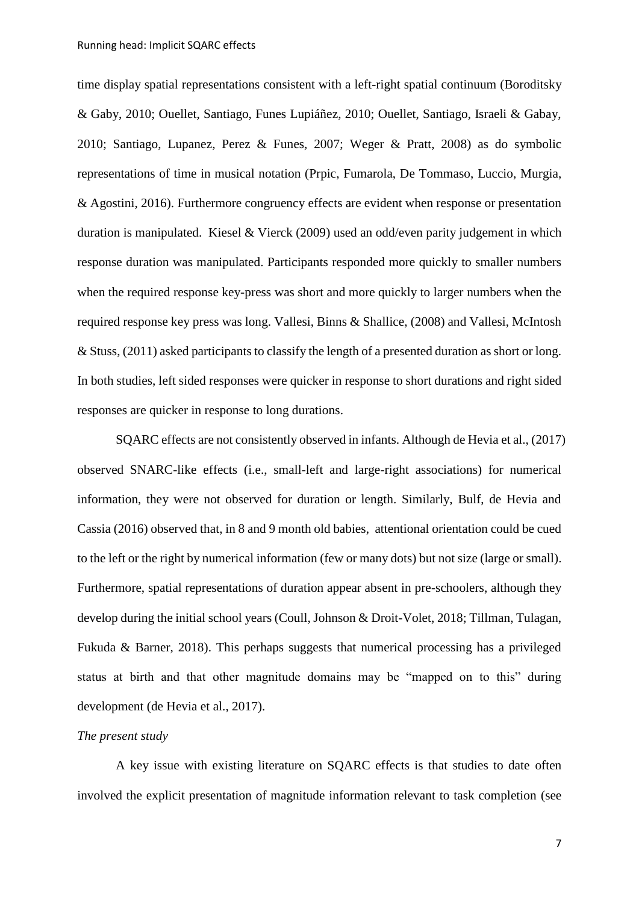time display spatial representations consistent with a left-right spatial continuum (Boroditsky & Gaby, 2010; Ouellet, Santiago, Funes Lupiáñez, 2010; Ouellet, Santiago, Israeli & Gabay, 2010; Santiago, Lupanez, Perez & Funes, 2007; Weger & Pratt, 2008) as do symbolic representations of time in musical notation (Prpic, Fumarola, De Tommaso, Luccio, Murgia, & Agostini, 2016). Furthermore congruency effects are evident when response or presentation duration is manipulated. Kiesel & Vierck (2009) used an odd/even parity judgement in which response duration was manipulated. Participants responded more quickly to smaller numbers when the required response key-press was short and more quickly to larger numbers when the required response key press was long. Vallesi, Binns & Shallice, (2008) and Vallesi, McIntosh & Stuss, (2011) asked participants to classify the length of a presented duration as short or long. In both studies, left sided responses were quicker in response to short durations and right sided responses are quicker in response to long durations.

SQARC effects are not consistently observed in infants. Although de Hevia et al., (2017) observed SNARC-like effects (i.e., small-left and large-right associations) for numerical information, they were not observed for duration or length. Similarly, Bulf, de Hevia and Cassia (2016) observed that, in 8 and 9 month old babies, attentional orientation could be cued to the left or the right by numerical information (few or many dots) but not size (large or small). Furthermore, spatial representations of duration appear absent in pre-schoolers, although they develop during the initial school years (Coull, Johnson & Droit-Volet, 2018; Tillman, Tulagan, Fukuda & Barner, 2018). This perhaps suggests that numerical processing has a privileged status at birth and that other magnitude domains may be "mapped on to this" during development (de Hevia et al., 2017).

## *The present study*

A key issue with existing literature on SQARC effects is that studies to date often involved the explicit presentation of magnitude information relevant to task completion (see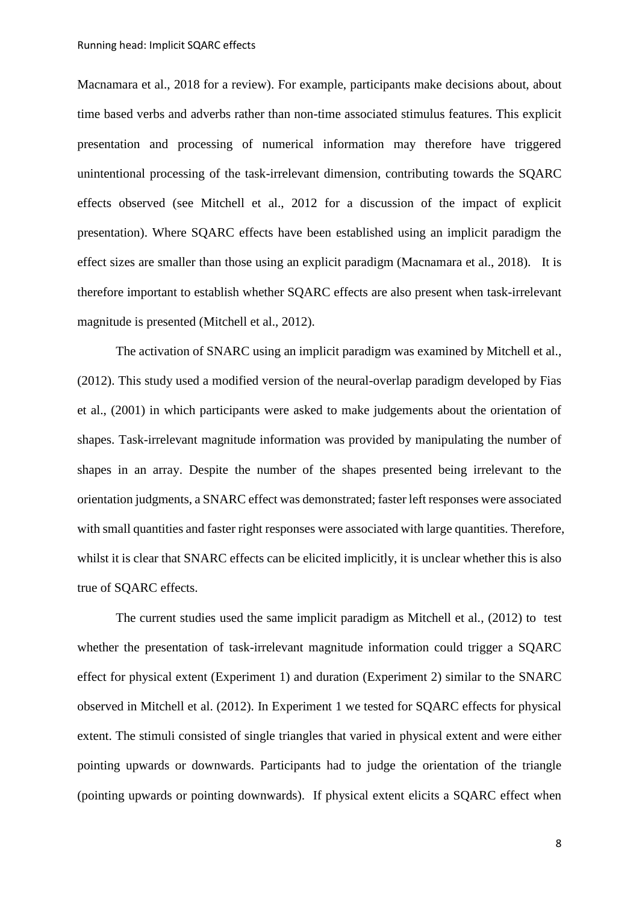Macnamara et al., 2018 for a review). For example, participants make decisions about, about time based verbs and adverbs rather than non-time associated stimulus features. This explicit presentation and processing of numerical information may therefore have triggered unintentional processing of the task-irrelevant dimension, contributing towards the SQARC effects observed (see Mitchell et al., 2012 for a discussion of the impact of explicit presentation). Where SQARC effects have been established using an implicit paradigm the effect sizes are smaller than those using an explicit paradigm (Macnamara et al., 2018). It is therefore important to establish whether SQARC effects are also present when task-irrelevant magnitude is presented (Mitchell et al., 2012).

The activation of SNARC using an implicit paradigm was examined by Mitchell et al., (2012). This study used a modified version of the neural-overlap paradigm developed by Fias et al., (2001) in which participants were asked to make judgements about the orientation of shapes. Task-irrelevant magnitude information was provided by manipulating the number of shapes in an array. Despite the number of the shapes presented being irrelevant to the orientation judgments, a SNARC effect was demonstrated; faster left responses were associated with small quantities and faster right responses were associated with large quantities. Therefore, whilst it is clear that SNARC effects can be elicited implicitly, it is unclear whether this is also true of SQARC effects.

The current studies used the same implicit paradigm as Mitchell et al., (2012) to test whether the presentation of task-irrelevant magnitude information could trigger a SQARC effect for physical extent (Experiment 1) and duration (Experiment 2) similar to the SNARC observed in Mitchell et al. (2012). In Experiment 1 we tested for SQARC effects for physical extent. The stimuli consisted of single triangles that varied in physical extent and were either pointing upwards or downwards. Participants had to judge the orientation of the triangle (pointing upwards or pointing downwards). If physical extent elicits a SQARC effect when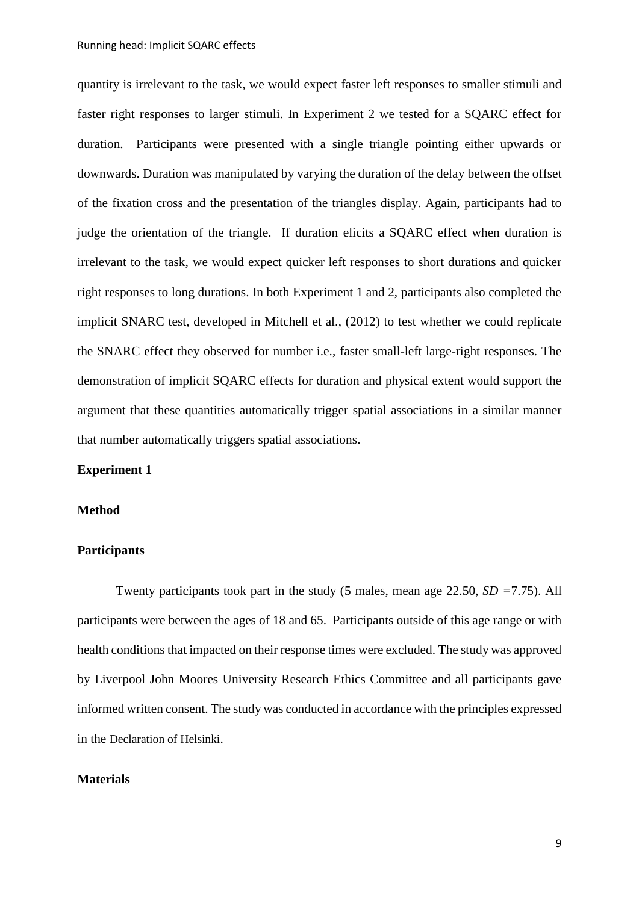quantity is irrelevant to the task, we would expect faster left responses to smaller stimuli and faster right responses to larger stimuli. In Experiment 2 we tested for a SQARC effect for duration. Participants were presented with a single triangle pointing either upwards or downwards. Duration was manipulated by varying the duration of the delay between the offset of the fixation cross and the presentation of the triangles display. Again, participants had to judge the orientation of the triangle. If duration elicits a SQARC effect when duration is irrelevant to the task, we would expect quicker left responses to short durations and quicker right responses to long durations. In both Experiment 1 and 2, participants also completed the implicit SNARC test, developed in Mitchell et al., (2012) to test whether we could replicate the SNARC effect they observed for number i.e., faster small-left large-right responses. The demonstration of implicit SQARC effects for duration and physical extent would support the argument that these quantities automatically trigger spatial associations in a similar manner that number automatically triggers spatial associations.

#### **Experiment 1**

#### **Method**

#### **Participants**

Twenty participants took part in the study (5 males, mean age 22.50, *SD =*7.75). All participants were between the ages of 18 and 65. Participants outside of this age range or with health conditions that impacted on their response times were excluded. The study was approved by Liverpool John Moores University Research Ethics Committee and all participants gave informed written consent. The study was conducted in accordance with the principles expressed in the [Declaration of Helsinki](https://www.wma.net/policies-post/wma-declaration-of-helsinki-ethical-principles-for-medical-research-involving-human-subjects/).

#### **Materials**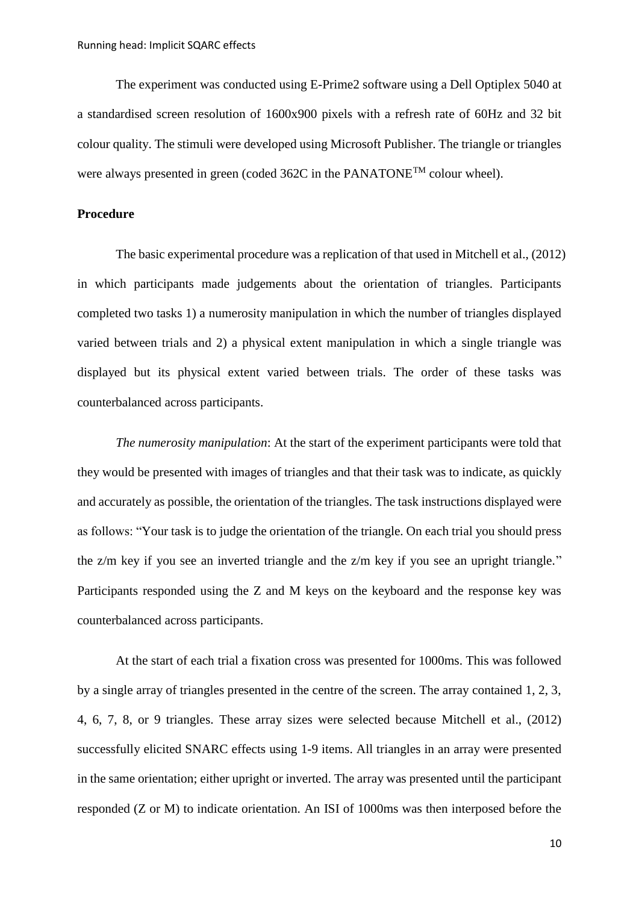The experiment was conducted using E-Prime2 software using a Dell Optiplex 5040 at a standardised screen resolution of 1600x900 pixels with a refresh rate of 60Hz and 32 bit colour quality. The stimuli were developed using Microsoft Publisher. The triangle or triangles were always presented in green (coded 362C in the PANATONE<sup>TM</sup> colour wheel).

#### **Procedure**

The basic experimental procedure was a replication of that used in Mitchell et al., (2012) in which participants made judgements about the orientation of triangles. Participants completed two tasks 1) a numerosity manipulation in which the number of triangles displayed varied between trials and 2) a physical extent manipulation in which a single triangle was displayed but its physical extent varied between trials. The order of these tasks was counterbalanced across participants.

*The numerosity manipulation*: At the start of the experiment participants were told that they would be presented with images of triangles and that their task was to indicate, as quickly and accurately as possible, the orientation of the triangles. The task instructions displayed were as follows: "Your task is to judge the orientation of the triangle. On each trial you should press the z/m key if you see an inverted triangle and the z/m key if you see an upright triangle." Participants responded using the Z and M keys on the keyboard and the response key was counterbalanced across participants.

At the start of each trial a fixation cross was presented for 1000ms. This was followed by a single array of triangles presented in the centre of the screen. The array contained 1, 2, 3, 4, 6, 7, 8, or 9 triangles. These array sizes were selected because Mitchell et al., (2012) successfully elicited SNARC effects using 1-9 items. All triangles in an array were presented in the same orientation; either upright or inverted. The array was presented until the participant responded (Z or M) to indicate orientation. An ISI of 1000ms was then interposed before the

10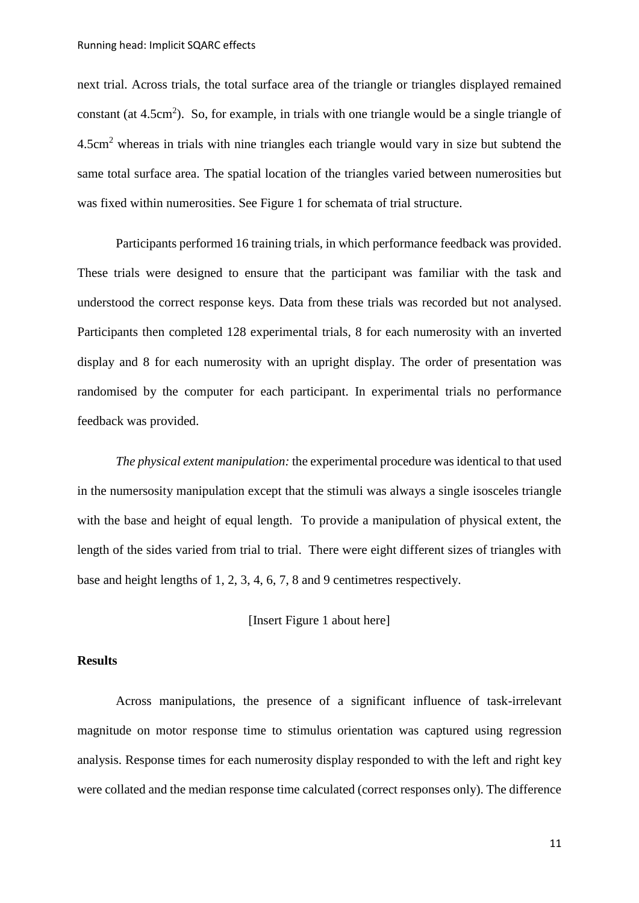next trial. Across trials, the total surface area of the triangle or triangles displayed remained constant (at  $4.5cm<sup>2</sup>$ ). So, for example, in trials with one triangle would be a single triangle of 4.5cm<sup>2</sup> whereas in trials with nine triangles each triangle would vary in size but subtend the same total surface area. The spatial location of the triangles varied between numerosities but was fixed within numerosities. See Figure 1 for schemata of trial structure.

Participants performed 16 training trials, in which performance feedback was provided. These trials were designed to ensure that the participant was familiar with the task and understood the correct response keys. Data from these trials was recorded but not analysed. Participants then completed 128 experimental trials, 8 for each numerosity with an inverted display and 8 for each numerosity with an upright display. The order of presentation was randomised by the computer for each participant. In experimental trials no performance feedback was provided.

*The physical extent manipulation:* the experimental procedure was identical to that used in the numersosity manipulation except that the stimuli was always a single isosceles triangle with the base and height of equal length. To provide a manipulation of physical extent, the length of the sides varied from trial to trial. There were eight different sizes of triangles with base and height lengths of 1, 2, 3, 4, 6, 7, 8 and 9 centimetres respectively.

[Insert Figure 1 about here]

## **Results**

Across manipulations, the presence of a significant influence of task-irrelevant magnitude on motor response time to stimulus orientation was captured using regression analysis. Response times for each numerosity display responded to with the left and right key were collated and the median response time calculated (correct responses only). The difference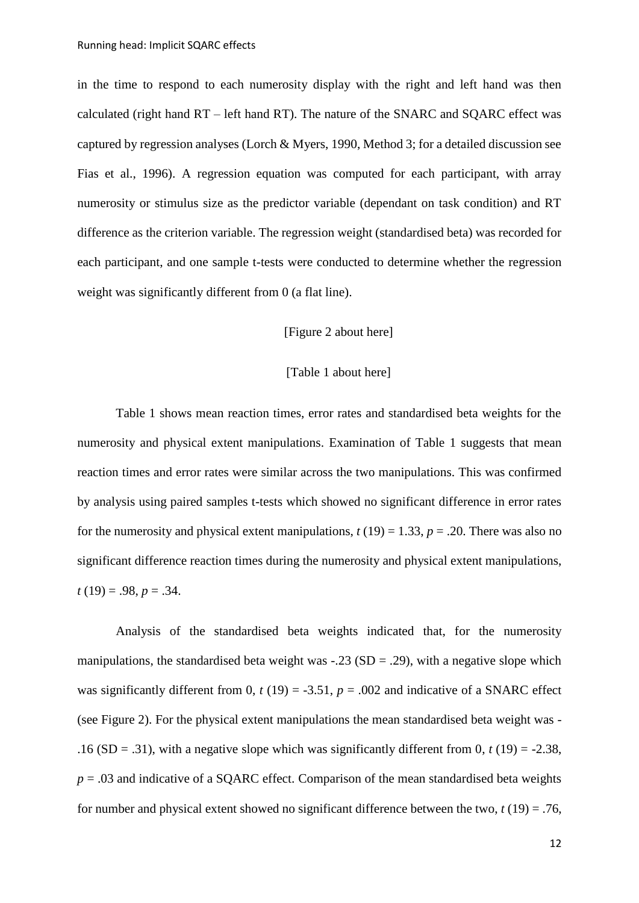in the time to respond to each numerosity display with the right and left hand was then calculated (right hand  $RT - left$  hand  $RT$ ). The nature of the SNARC and SOARC effect was captured by regression analyses (Lorch & Myers, 1990, Method 3; for a detailed discussion see Fias et al., 1996). A regression equation was computed for each participant, with array numerosity or stimulus size as the predictor variable (dependant on task condition) and RT difference as the criterion variable. The regression weight (standardised beta) was recorded for each participant, and one sample t-tests were conducted to determine whether the regression weight was significantly different from 0 (a flat line).

#### [Figure 2 about here]

## [Table 1 about here]

Table 1 shows mean reaction times, error rates and standardised beta weights for the numerosity and physical extent manipulations. Examination of Table 1 suggests that mean reaction times and error rates were similar across the two manipulations. This was confirmed by analysis using paired samples t-tests which showed no significant difference in error rates for the numerosity and physical extent manipulations,  $t(19) = 1.33$ ,  $p = .20$ . There was also no significant difference reaction times during the numerosity and physical extent manipulations,  $t(19) = .98, p = .34.$ 

Analysis of the standardised beta weights indicated that, for the numerosity manipulations, the standardised beta weight was  $-.23$  (SD = .29), with a negative slope which was significantly different from 0,  $t(19) = -3.51$ ,  $p = .002$  and indicative of a SNARC effect (see Figure 2). For the physical extent manipulations the mean standardised beta weight was - .16 (SD = .31), with a negative slope which was significantly different from  $0, t(19) = -2.38$ ,  $p = 0.03$  and indicative of a SQARC effect. Comparison of the mean standardised beta weights for number and physical extent showed no significant difference between the two,  $t(19) = .76$ ,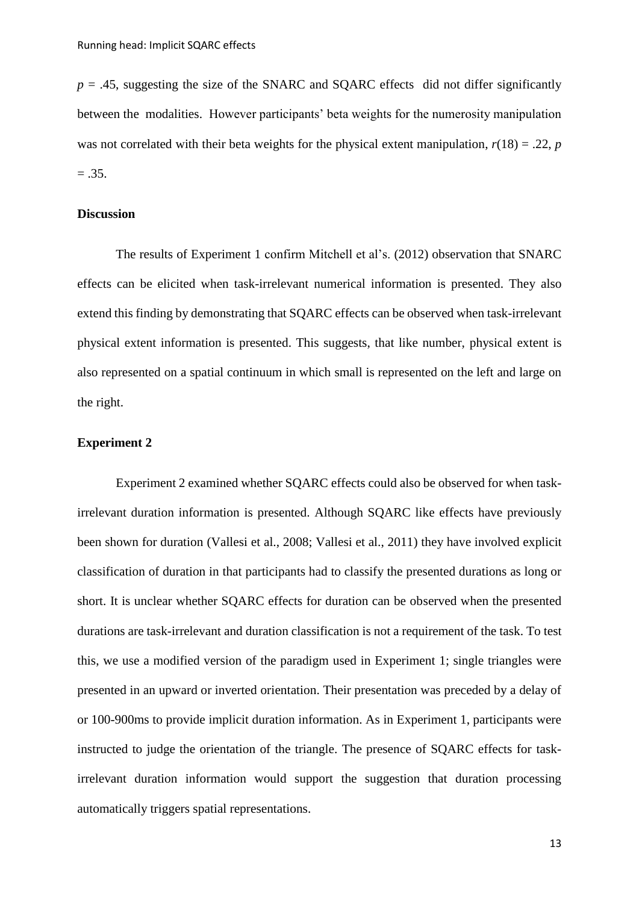$p = .45$ , suggesting the size of the SNARC and SQARC effects did not differ significantly between the modalities. However participants' beta weights for the numerosity manipulation was not correlated with their beta weights for the physical extent manipulation,  $r(18) = .22$ , *p*  $=.35.$ 

#### **Discussion**

The results of Experiment 1 confirm Mitchell et al's. (2012) observation that SNARC effects can be elicited when task-irrelevant numerical information is presented. They also extend this finding by demonstrating that SQARC effects can be observed when task-irrelevant physical extent information is presented. This suggests, that like number, physical extent is also represented on a spatial continuum in which small is represented on the left and large on the right.

## **Experiment 2**

Experiment 2 examined whether SQARC effects could also be observed for when taskirrelevant duration information is presented. Although SQARC like effects have previously been shown for duration (Vallesi et al., 2008; Vallesi et al., 2011) they have involved explicit classification of duration in that participants had to classify the presented durations as long or short. It is unclear whether SQARC effects for duration can be observed when the presented durations are task-irrelevant and duration classification is not a requirement of the task. To test this, we use a modified version of the paradigm used in Experiment 1; single triangles were presented in an upward or inverted orientation. Their presentation was preceded by a delay of or 100-900ms to provide implicit duration information. As in Experiment 1, participants were instructed to judge the orientation of the triangle. The presence of SQARC effects for taskirrelevant duration information would support the suggestion that duration processing automatically triggers spatial representations.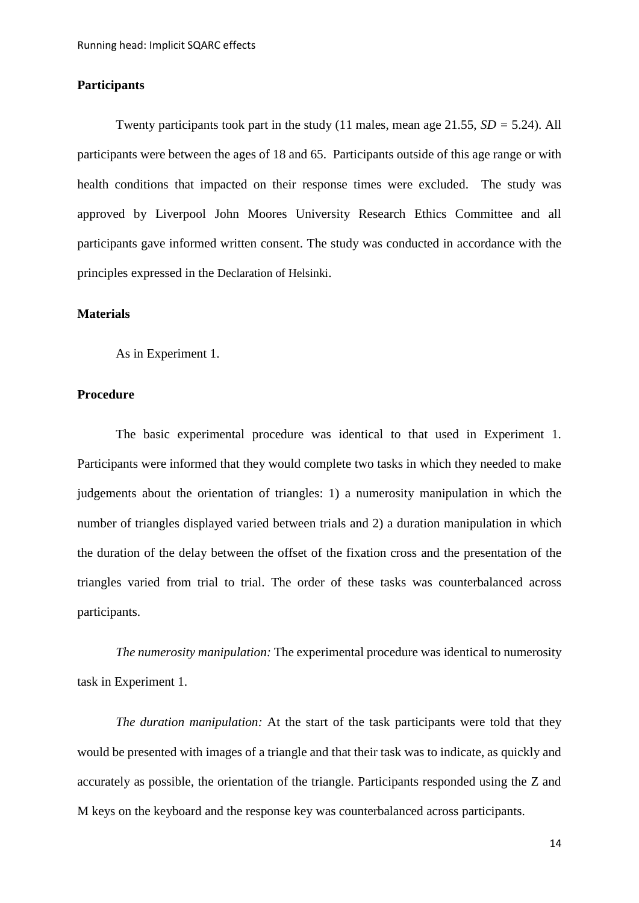## **Participants**

Twenty participants took part in the study (11 males, mean age 21.55, *SD =* 5.24). All participants were between the ages of 18 and 65. Participants outside of this age range or with health conditions that impacted on their response times were excluded. The study was approved by Liverpool John Moores University Research Ethics Committee and all participants gave informed written consent. The study was conducted in accordance with the principles expressed in the [Declaration of Helsinki](https://www.wma.net/policies-post/wma-declaration-of-helsinki-ethical-principles-for-medical-research-involving-human-subjects/).

## **Materials**

As in Experiment 1.

## **Procedure**

The basic experimental procedure was identical to that used in Experiment 1. Participants were informed that they would complete two tasks in which they needed to make judgements about the orientation of triangles: 1) a numerosity manipulation in which the number of triangles displayed varied between trials and 2) a duration manipulation in which the duration of the delay between the offset of the fixation cross and the presentation of the triangles varied from trial to trial. The order of these tasks was counterbalanced across participants.

*The numerosity manipulation:* The experimental procedure was identical to numerosity task in Experiment 1.

*The duration manipulation:* At the start of the task participants were told that they would be presented with images of a triangle and that their task was to indicate, as quickly and accurately as possible, the orientation of the triangle. Participants responded using the Z and M keys on the keyboard and the response key was counterbalanced across participants.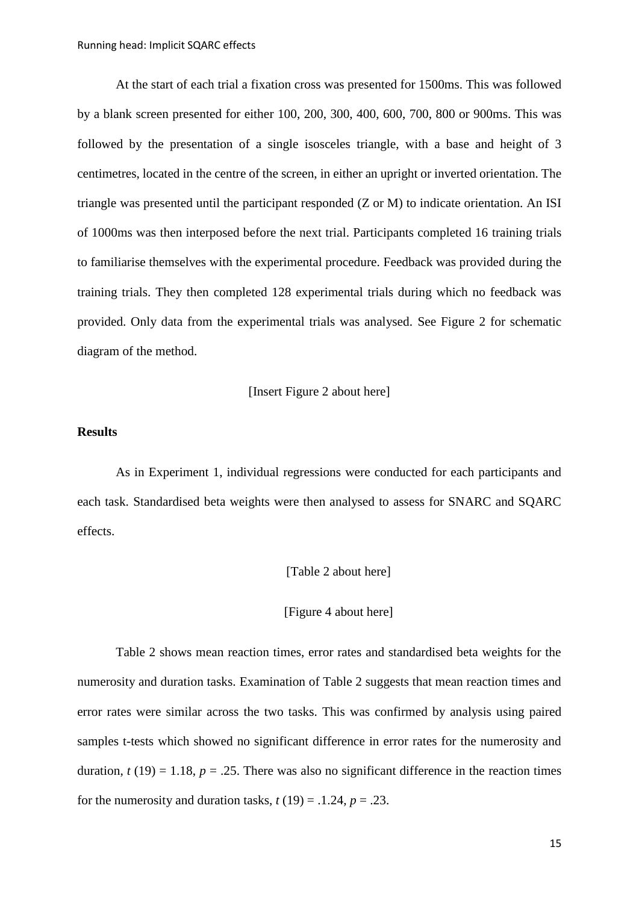At the start of each trial a fixation cross was presented for 1500ms. This was followed by a blank screen presented for either 100, 200, 300, 400, 600, 700, 800 or 900ms. This was followed by the presentation of a single isosceles triangle, with a base and height of 3 centimetres, located in the centre of the screen, in either an upright or inverted orientation. The triangle was presented until the participant responded (Z or M) to indicate orientation. An ISI of 1000ms was then interposed before the next trial. Participants completed 16 training trials to familiarise themselves with the experimental procedure. Feedback was provided during the training trials. They then completed 128 experimental trials during which no feedback was provided. Only data from the experimental trials was analysed. See Figure 2 for schematic diagram of the method.

[Insert Figure 2 about here]

## **Results**

As in Experiment 1, individual regressions were conducted for each participants and each task. Standardised beta weights were then analysed to assess for SNARC and SQARC effects.

[Table 2 about here]

#### [Figure 4 about here]

Table 2 shows mean reaction times, error rates and standardised beta weights for the numerosity and duration tasks. Examination of Table 2 suggests that mean reaction times and error rates were similar across the two tasks. This was confirmed by analysis using paired samples t-tests which showed no significant difference in error rates for the numerosity and duration,  $t(19) = 1.18$ ,  $p = .25$ . There was also no significant difference in the reaction times for the numerosity and duration tasks,  $t(19) = .1.24$ ,  $p = .23$ .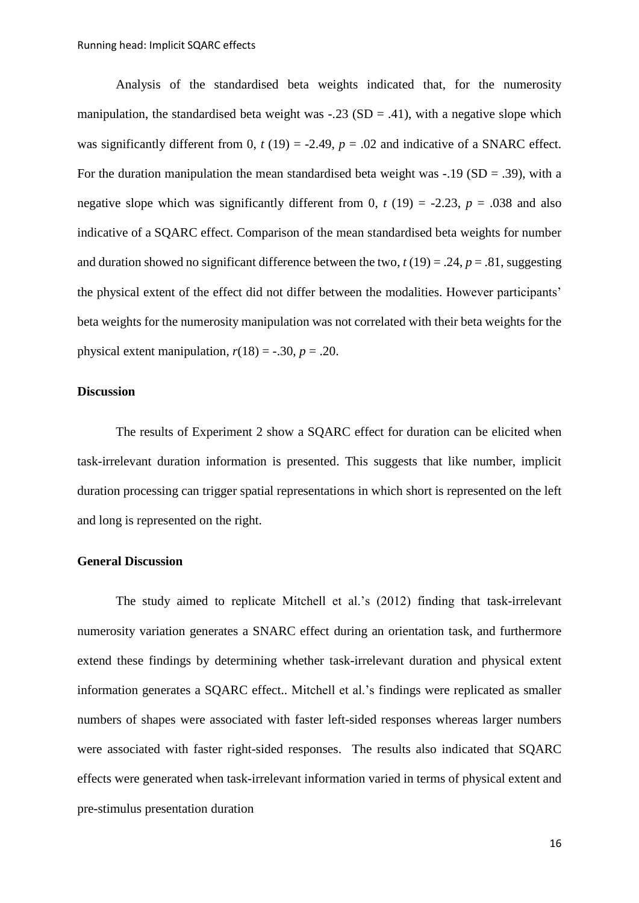Analysis of the standardised beta weights indicated that, for the numerosity manipulation, the standardised beta weight was  $-.23$  (SD = .41), with a negative slope which was significantly different from 0,  $t(19) = -2.49$ ,  $p = .02$  and indicative of a SNARC effect. For the duration manipulation the mean standardised beta weight was -.19 ( $SD = .39$ ), with a negative slope which was significantly different from 0,  $t(19) = -2.23$ ,  $p = .038$  and also indicative of a SQARC effect. Comparison of the mean standardised beta weights for number and duration showed no significant difference between the two,  $t(19) = .24$ ,  $p = .81$ , suggesting the physical extent of the effect did not differ between the modalities. However participants' beta weights for the numerosity manipulation was not correlated with their beta weights for the physical extent manipulation,  $r(18) = -.30$ ,  $p = .20$ .

#### **Discussion**

The results of Experiment 2 show a SQARC effect for duration can be elicited when task-irrelevant duration information is presented. This suggests that like number, implicit duration processing can trigger spatial representations in which short is represented on the left and long is represented on the right.

## **General Discussion**

The study aimed to replicate Mitchell et al.'s (2012) finding that task-irrelevant numerosity variation generates a SNARC effect during an orientation task, and furthermore extend these findings by determining whether task-irrelevant duration and physical extent information generates a SQARC effect.. Mitchell et al.'s findings were replicated as smaller numbers of shapes were associated with faster left-sided responses whereas larger numbers were associated with faster right-sided responses. The results also indicated that SQARC effects were generated when task-irrelevant information varied in terms of physical extent and pre-stimulus presentation duration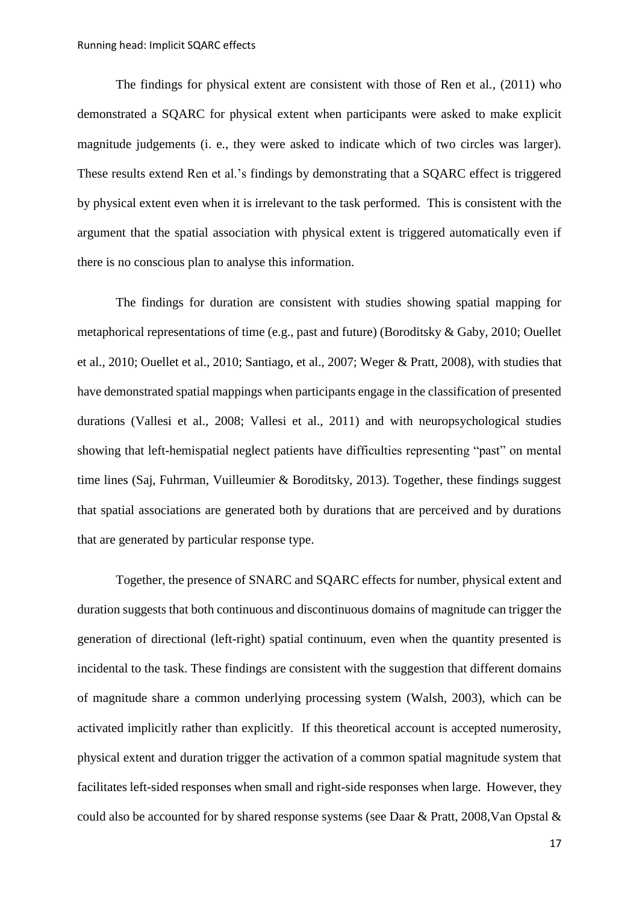The findings for physical extent are consistent with those of Ren et al., (2011) who demonstrated a SQARC for physical extent when participants were asked to make explicit magnitude judgements (i. e., they were asked to indicate which of two circles was larger). These results extend Ren et al.'s findings by demonstrating that a SQARC effect is triggered by physical extent even when it is irrelevant to the task performed. This is consistent with the argument that the spatial association with physical extent is triggered automatically even if there is no conscious plan to analyse this information.

The findings for duration are consistent with studies showing spatial mapping for metaphorical representations of time (e.g., past and future) (Boroditsky & Gaby, 2010; Ouellet et al., 2010; Ouellet et al., 2010; Santiago, et al., 2007; Weger & Pratt, 2008), with studies that have demonstrated spatial mappings when participants engage in the classification of presented durations (Vallesi et al., 2008; Vallesi et al., 2011) and with neuropsychological studies showing that left-hemispatial neglect patients have difficulties representing "past" on mental time lines (Saj, Fuhrman, Vuilleumier & Boroditsky, 2013). Together, these findings suggest that spatial associations are generated both by durations that are perceived and by durations that are generated by particular response type.

Together, the presence of SNARC and SQARC effects for number, physical extent and duration suggests that both continuous and discontinuous domains of magnitude can trigger the generation of directional (left-right) spatial continuum, even when the quantity presented is incidental to the task. These findings are consistent with the suggestion that different domains of magnitude share a common underlying processing system (Walsh, 2003), which can be activated implicitly rather than explicitly. If this theoretical account is accepted numerosity, physical extent and duration trigger the activation of a common spatial magnitude system that facilitates left-sided responses when small and right-side responses when large. However, they could also be accounted for by shared response systems (see Daar & Pratt, 2008,Van Opstal &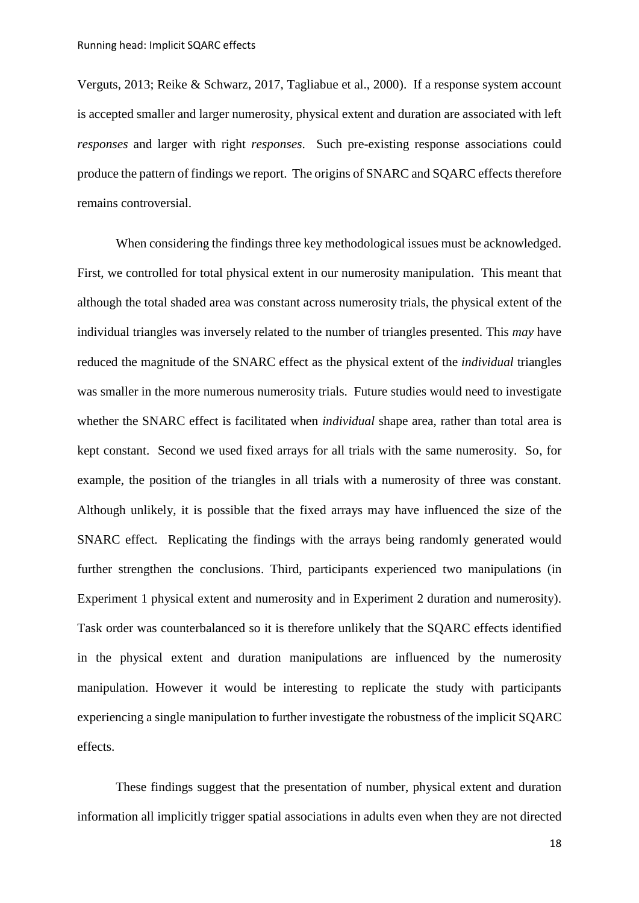Verguts, 2013; Reike & Schwarz, 2017, Tagliabue et al., 2000). If a response system account is accepted smaller and larger numerosity, physical extent and duration are associated with left *responses* and larger with right *responses*. Such pre-existing response associations could produce the pattern of findings we report. The origins of SNARC and SQARC effects therefore remains controversial.

When considering the findings three key methodological issues must be acknowledged. First, we controlled for total physical extent in our numerosity manipulation. This meant that although the total shaded area was constant across numerosity trials, the physical extent of the individual triangles was inversely related to the number of triangles presented. This *may* have reduced the magnitude of the SNARC effect as the physical extent of the *individual* triangles was smaller in the more numerous numerosity trials. Future studies would need to investigate whether the SNARC effect is facilitated when *individual* shape area, rather than total area is kept constant. Second we used fixed arrays for all trials with the same numerosity. So, for example, the position of the triangles in all trials with a numerosity of three was constant. Although unlikely, it is possible that the fixed arrays may have influenced the size of the SNARC effect. Replicating the findings with the arrays being randomly generated would further strengthen the conclusions. Third, participants experienced two manipulations (in Experiment 1 physical extent and numerosity and in Experiment 2 duration and numerosity). Task order was counterbalanced so it is therefore unlikely that the SQARC effects identified in the physical extent and duration manipulations are influenced by the numerosity manipulation. However it would be interesting to replicate the study with participants experiencing a single manipulation to further investigate the robustness of the implicit SQARC effects.

These findings suggest that the presentation of number, physical extent and duration information all implicitly trigger spatial associations in adults even when they are not directed

18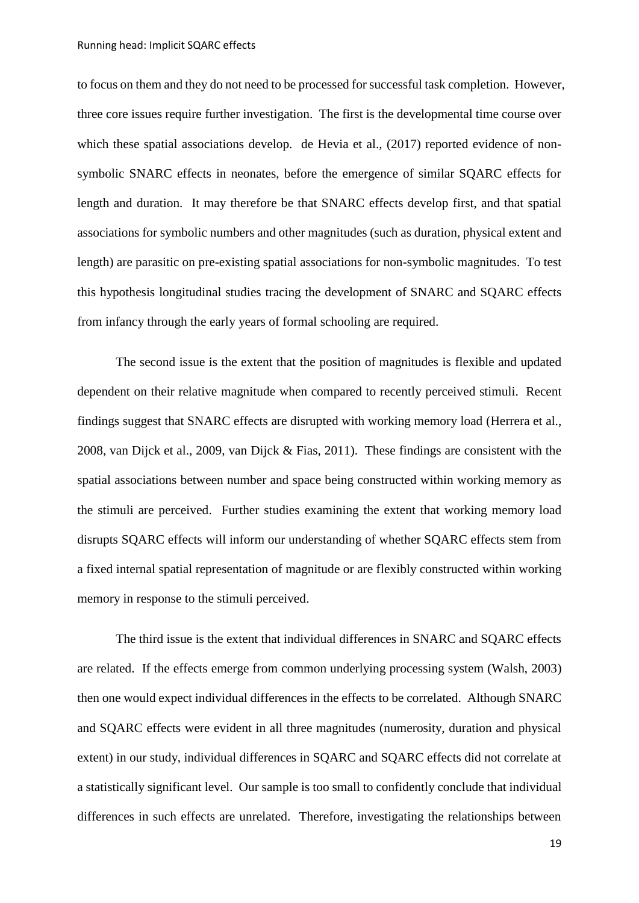to focus on them and they do not need to be processed for successful task completion. However, three core issues require further investigation. The first is the developmental time course over which these spatial associations develop. de Hevia et al., (2017) reported evidence of nonsymbolic SNARC effects in neonates, before the emergence of similar SQARC effects for length and duration. It may therefore be that SNARC effects develop first, and that spatial associations for symbolic numbers and other magnitudes (such as duration, physical extent and length) are parasitic on pre-existing spatial associations for non-symbolic magnitudes. To test this hypothesis longitudinal studies tracing the development of SNARC and SQARC effects from infancy through the early years of formal schooling are required.

The second issue is the extent that the position of magnitudes is flexible and updated dependent on their relative magnitude when compared to recently perceived stimuli. Recent findings suggest that SNARC effects are disrupted with working memory load [\(Herrera et al.,](https://www.sciencedirect.com/science/article/pii/S0010027710003057#b0080)  [2008,](https://www.sciencedirect.com/science/article/pii/S0010027710003057#b0080) [van Dijck et al., 2009,](https://www.sciencedirect.com/science/article/pii/S0010027710003057#b0135) van Dijck & Fias, 2011). These findings are consistent with the spatial associations between number and space being constructed within working memory as the stimuli are perceived. Further studies examining the extent that working memory load disrupts SQARC effects will inform our understanding of whether SQARC effects stem from a fixed internal spatial representation of magnitude or are flexibly constructed within working memory in response to the stimuli perceived.

The third issue is the extent that individual differences in SNARC and SQARC effects are related. If the effects emerge from common underlying processing system (Walsh, 2003) then one would expect individual differences in the effects to be correlated. Although SNARC and SQARC effects were evident in all three magnitudes (numerosity, duration and physical extent) in our study, individual differences in SQARC and SQARC effects did not correlate at a statistically significant level. Our sample is too small to confidently conclude that individual differences in such effects are unrelated. Therefore, investigating the relationships between

19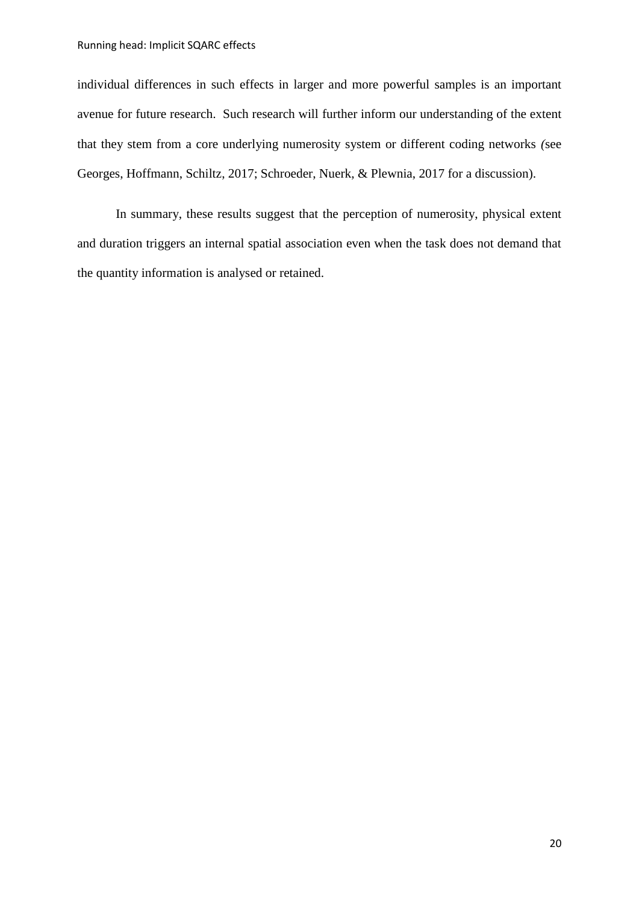individual differences in such effects in larger and more powerful samples is an important avenue for future research. Such research will further inform our understanding of the extent that they stem from a core underlying numerosity system or different coding networks *(*see Georges, Hoffmann, Schiltz, 2017; Schroeder, Nuerk, & Plewnia, 2017 for a discussion).

In summary, these results suggest that the perception of numerosity, physical extent and duration triggers an internal spatial association even when the task does not demand that the quantity information is analysed or retained.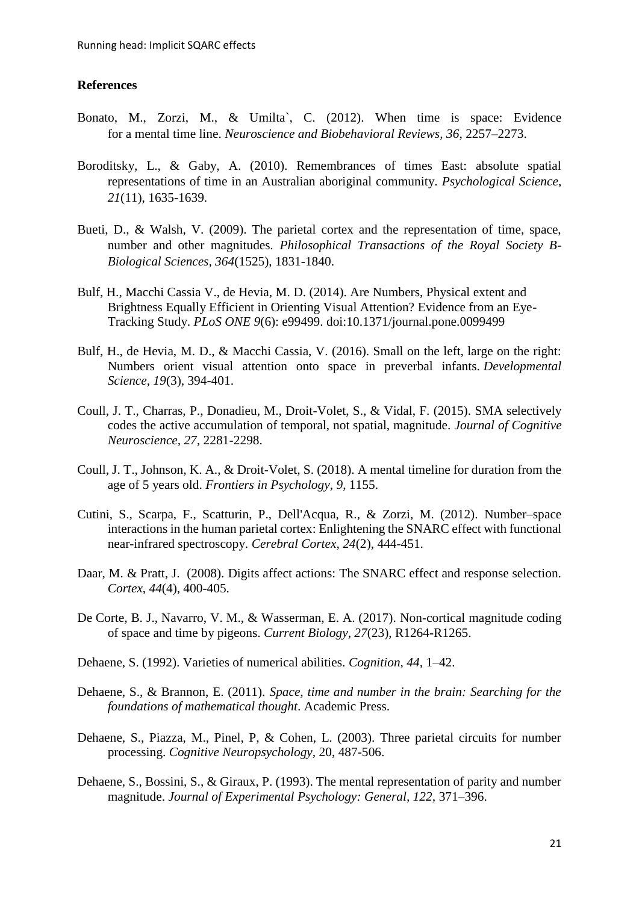## **References**

- Bonato, M., Zorzi, M., & Umilta`, C. (2012). When time is space: Evidence for a mental time line. *Neuroscience and Biobehavioral Reviews, 36*, 2257–2273.
- Boroditsky, L., & Gaby, A. (2010). Remembrances of times East: absolute spatial representations of time in an Australian aboriginal community. *Psychological Science*, *21*(11), 1635-1639.
- Bueti, D., & Walsh, V. (2009). The parietal cortex and the representation of time, space, number and other magnitudes*. Philosophical Transactions of the Royal Society B-Biological Sciences, 364*(1525), 1831-1840.
- Bulf, H., Macchi Cassia V., de Hevia, M. D. (2014). Are Numbers, Physical extent and Brightness Equally Efficient in Orienting Visual Attention? Evidence from an Eye-Tracking Study. *PLoS ONE 9*(6): e99499. doi:10.1371/journal.pone.0099499
- Bulf, H., de Hevia, M. D., & Macchi Cassia, V. (2016). Small on the left, large on the right: Numbers orient visual attention onto space in preverbal infants. *Developmental Science*, *19*(3), 394-401.
- Coull, J. T., Charras, P., Donadieu, M., Droit-Volet, S., & Vidal, F. (2015). SMA selectively codes the active accumulation of temporal, not spatial, magnitude. *Journal of Cognitive Neuroscience, 27,* 2281-2298.
- Coull, J. T., Johnson, K. A., & Droit-Volet, S. (2018). A mental timeline for duration from the age of 5 years old. *Frontiers in Psychology*, *9*, 1155.
- Cutini, S., Scarpa, F., Scatturin, P., Dell'Acqua, R., & Zorzi, M. (2012). Number–space interactions in the human parietal cortex: Enlightening the SNARC effect with functional near-infrared spectroscopy. *Cerebral Cortex*, *24*(2), 444-451.
- Daar, M. & Pratt, J. (2008). Digits affect actions: The SNARC effect and response selection. *Cortex*, *44*(4), 400-405.
- De Corte, B. J., Navarro, V. M., & Wasserman, E. A. (2017). Non-cortical magnitude coding of space and time by pigeons. *Current Biology*, *27*(23), R1264-R1265.
- Dehaene, S. (1992). Varieties of numerical abilities. *Cognition, 44,* 1–42.
- Dehaene, S., & Brannon, E. (2011). *Space, time and number in the brain: Searching for the foundations of mathematical thought*. Academic Press.
- Dehaene, S., Piazza, M., Pinel, P, & Cohen, L. (2003). Three parietal circuits for number processing. *Cognitive Neuropsychology,* 20, 487-506.
- Dehaene, S., Bossini, S., & Giraux, P. (1993). The mental representation of parity and number magnitude. *Journal of Experimental Psychology: General, 122,* 371–396.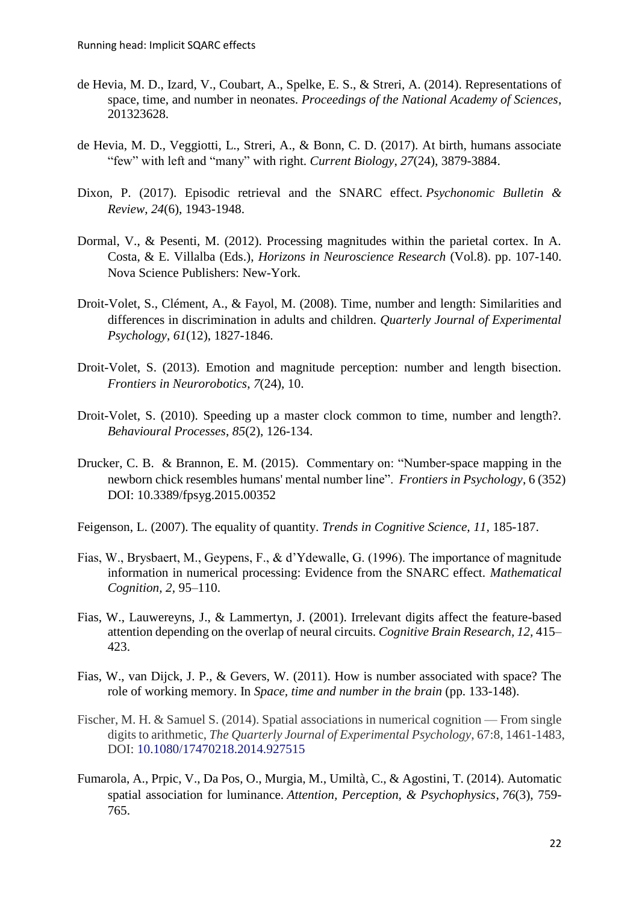- de Hevia, M. D., Izard, V., Coubart, A., Spelke, E. S., & Streri, A. (2014). Representations of space, time, and number in neonates. *Proceedings of the National Academy of Sciences*, 201323628.
- de Hevia, M. D., Veggiotti, L., Streri, A., & Bonn, C. D. (2017). At birth, humans associate "few" with left and "many" with right. *Current Biology*, *27*(24), 3879-3884.
- Dixon, P. (2017). Episodic retrieval and the SNARC effect. *Psychonomic Bulletin & Review*, *24*(6), 1943-1948.
- Dormal, V., & Pesenti, M. (2012). Processing magnitudes within the parietal cortex. In A. Costa, & E. Villalba (Eds.), *Horizons in Neuroscience Research* (Vol.8). pp. 107-140. Nova Science Publishers: New-York.
- Droit-Volet, S., Clément, A., & Fayol, M. (2008). Time, number and length: Similarities and differences in discrimination in adults and children. *Quarterly Journal of Experimental Psychology*, *61*(12), 1827-1846.
- Droit-Volet, S. (2013). Emotion and magnitude perception: number and length bisection. *Frontiers in Neurorobotics*, *7*(24), 10.
- Droit-Volet, S. (2010). Speeding up a master clock common to time, number and length?. *Behavioural Processes*, *85*(2), 126-134.
- Drucker, C. B. & Brannon, E. M. (2015). Commentary on: "Number-space mapping in the newborn chick resembles humans' mental number line". *Frontiers in Psychology*, 6 (352) DOI: [10.3389/fpsyg.2015.00352](https://doi.org/10.3389/fpsyg.2015.00352)
- Feigenson, L. (2007). The equality of quantity. *Trends in Cognitive Science, 11,* 185-187.
- Fias, W., Brysbaert, M., Geypens, F., & d'Ydewalle, G. (1996). The importance of magnitude information in numerical processing: Evidence from the SNARC effect. *Mathematical Cognition, 2,* 95–110.
- Fias, W., Lauwereyns, J., & Lammertyn, J. (2001). Irrelevant digits affect the feature-based attention depending on the overlap of neural circuits. *Cognitive Brain Research, 12,* 415– 423.
- Fias, W., van Dijck, J. P., & Gevers, W. (2011). How is number associated with space? The role of working memory. In *Space, time and number in the brain* (pp. 133-148).
- Fischer, M. H. & Samuel S. (2014). Spatial associations in numerical cognition From single digits to arithmetic, *The Quarterly Journal of Experimental Psychology*, 67:8, 1461-1483, DOI: [10.1080/17470218.2014.927515](https://doi.org/10.1080/17470218.2014.927515)
- Fumarola, A., Prpic, V., Da Pos, O., Murgia, M., Umiltà, C., & Agostini, T. (2014). Automatic spatial association for luminance. *Attention, Perception, & Psychophysics*, *76*(3), 759- 765.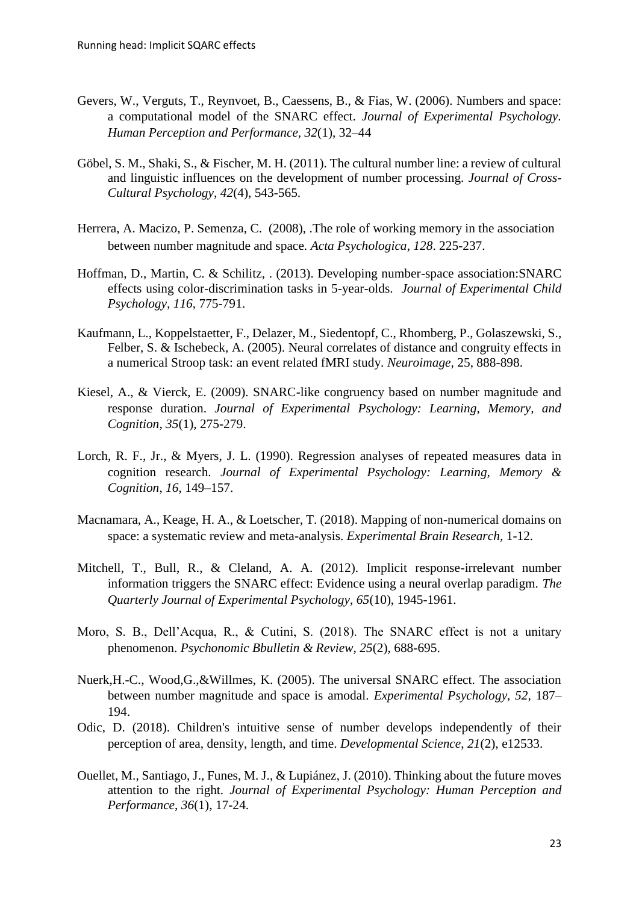- Gevers, W., Verguts, T., Reynvoet, B., Caessens, B., & Fias, W. (2006). Numbers and space: a computational model of the SNARC effect. *Journal of Experimental Psychology. Human Perception and Performance, 32*(1), 32–44
- Göbel, S. M., Shaki, S., & Fischer, M. H. (2011). The cultural number line: a review of cultural and linguistic influences on the development of number processing. *Journal of Cross-Cultural Psychology*, *42*(4), 543-565.
- Herrera, A. Macizo, P. Semenza, C. (2008), .The role of working memory in the association between number magnitude and space. *Acta Psychologica*, *128*. 225-237.
- Hoffman, D., Martin, C. & Schilitz, . (2013). Developing number-space association:SNARC effects using color-discrimination tasks in 5-year-olds. *Journal of Experimental Child Psychology, 116*, 775-791.
- Kaufmann, L., Koppelstaetter, F., Delazer, M., Siedentopf, C., Rhomberg, P., Golaszewski, S., Felber, S. & Ischebeck, A. (2005). Neural correlates of distance and congruity effects in a numerical Stroop task: an event related fMRI study. *Neuroimage,* 25, 888-898.
- Kiesel, A., & Vierck, E. (2009). SNARC-like congruency based on number magnitude and response duration. *Journal of Experimental Psychology: Learning, Memory, and Cognition*, *35*(1), 275-279.
- Lorch, R. F., Jr., & Myers, J. L. (1990). Regression analyses of repeated measures data in cognition research. *Journal of Experimental Psychology: Learning, Memory & Cognition*, *16*, 149–157.
- Macnamara, A., Keage, H. A., & Loetscher, T. (2018). Mapping of non-numerical domains on space: a systematic review and meta-analysis. *Experimental Brain Research,* 1-12.
- Mitchell, T., Bull, R., & Cleland, A. A. (2012). Implicit response-irrelevant number information triggers the SNARC effect: Evidence using a neural overlap paradigm. *The Quarterly Journal of Experimental Psychology*, *65*(10), 1945-1961.
- Moro, S. B., Dell'Acqua, R., & Cutini, S. (2018). The SNARC effect is not a unitary phenomenon. *Psychonomic Bbulletin & Review*, *25*(2), 688-695.
- Nuerk,H.-C., Wood,G.,&Willmes, K. (2005). The universal SNARC effect. The association between number magnitude and space is amodal. *Experimental Psychology, 52,* 187– 194.
- Odic, D. (2018). Children's intuitive sense of number develops independently of their perception of area, density, length, and time. *Developmental Science*, *21*(2), e12533.
- Ouellet, M., Santiago, J., Funes, M. J., & Lupiánez, J. (2010). Thinking about the future moves attention to the right. *Journal of Experimental Psychology: Human Perception and Performance*, *36*(1), 17-24.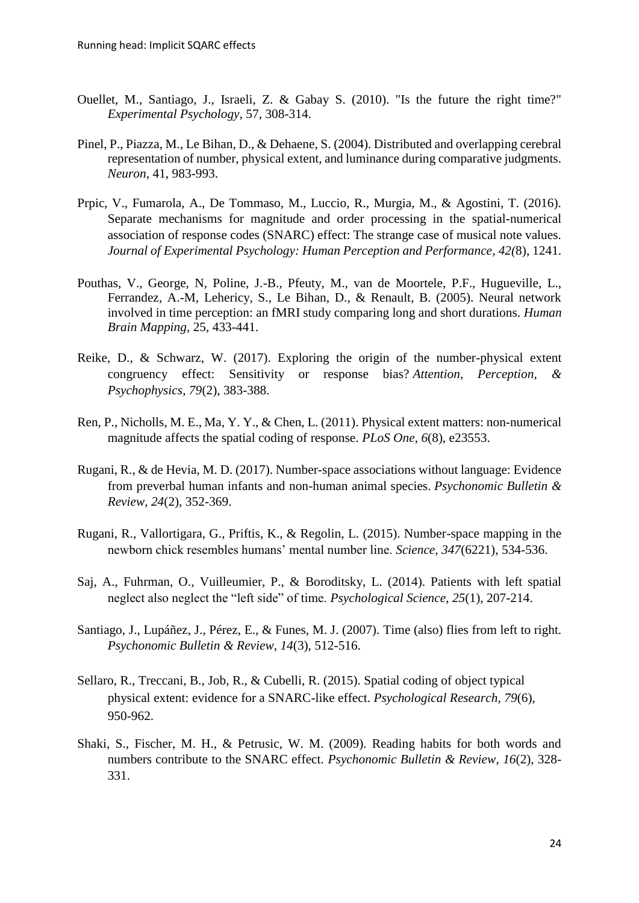- Ouellet, M., Santiago, J., Israeli, Z. & Gabay S. (2010). "Is the future the right time?" *Experimental Psychology*, 57, 308-314.
- Pinel, P., Piazza, M., Le Bihan, D., & Dehaene, S. (2004). Distributed and overlapping cerebral representation of number, physical extent, and luminance during comparative judgments. *Neuron*, 41, 983-993.
- Prpic, V., Fumarola, A., De Tommaso, M., Luccio, R., Murgia, M., & Agostini, T. (2016). Separate mechanisms for magnitude and order processing in the spatial-numerical association of response codes (SNARC) effect: The strange case of musical note values. *Journal of Experimental Psychology: Human Perception and Performance*, *42(*8), 1241.
- Pouthas, V., George, N, Poline, J.-B., Pfeuty, M., van de Moortele, P.F., Hugueville, L., Ferrandez, A.-M, Lehericy, S., Le Bihan, D., & Renault, B. (2005). Neural network involved in time perception: an fMRI study comparing long and short durations. *Human Brain Mapping,* 25, 433-441.
- Reike, D., & Schwarz, W. (2017). Exploring the origin of the number-physical extent congruency effect: Sensitivity or response bias? *Attention, Perception, & Psychophysics*, *79*(2), 383-388.
- Ren, P., Nicholls, M. E., Ma, Y. Y., & Chen, L. (2011). Physical extent matters: non-numerical magnitude affects the spatial coding of response. *PLoS One*, *6*(8), e23553.
- Rugani, R., & de Hevia, M. D. (2017). Number-space associations without language: Evidence from preverbal human infants and non-human animal species. *Psychonomic Bulletin & Review*, *24*(2), 352-369.
- Rugani, R., Vallortigara, G., Priftis, K., & Regolin, L. (2015). Number-space mapping in the newborn chick resembles humans' mental number line. *Science*, *347*(6221), 534-536.
- Saj, A., Fuhrman, O., Vuilleumier, P., & Boroditsky, L. (2014). Patients with left spatial neglect also neglect the "left side" of time. *Psychological Science*, *25*(1), 207-214.
- Santiago, J., Lupáñez, J., Pérez, E., & Funes, M. J. (2007). Time (also) flies from left to right. *Psychonomic Bulletin & Review*, *14*(3), 512-516.
- Sellaro, R., Treccani, B., Job, R., & Cubelli, R. (2015). Spatial coding of object typical physical extent: evidence for a SNARC-like effect. *Psychological Research*, *79*(6), 950-962.
- Shaki, S., Fischer, M. H., & Petrusic, W. M. (2009). Reading habits for both words and numbers contribute to the SNARC effect. *Psychonomic Bulletin & Review*, *16*(2), 328- 331.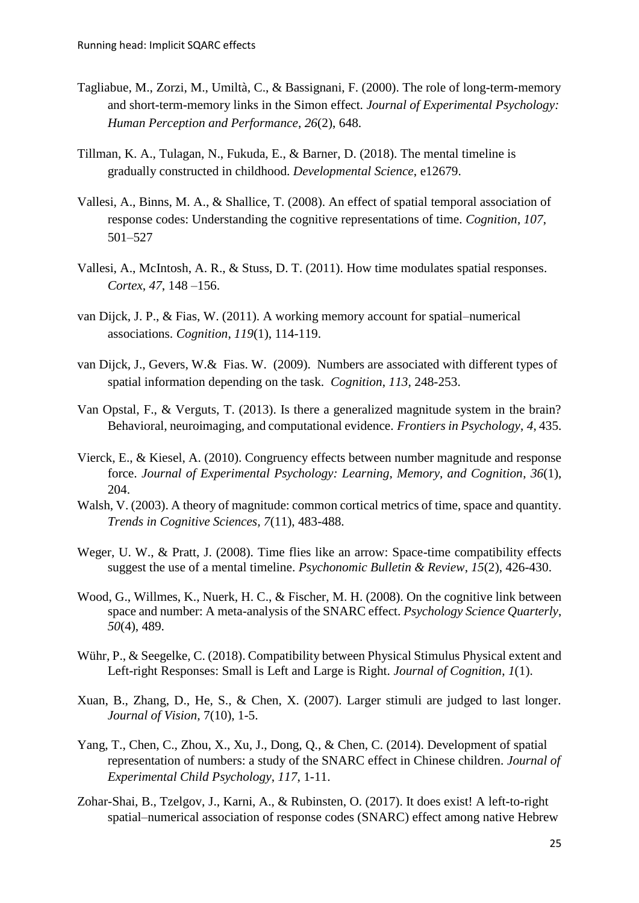- Tagliabue, M., Zorzi, M., Umiltà, C., & Bassignani, F. (2000). The role of long-term-memory and short-term-memory links in the Simon effect. *Journal of Experimental Psychology: Human Perception and Performance*, *26*(2), 648.
- Tillman, K. A., Tulagan, N., Fukuda, E., & Barner, D. (2018). The mental timeline is gradually constructed in childhood. *Developmental Science*, e12679.
- Vallesi, A., Binns, M. A., & Shallice, T. (2008). An effect of spatial temporal association of response codes: Understanding the cognitive representations of time. *Cognition*, *107*, 501–527
- Vallesi, A., McIntosh, A. R., & Stuss, D. T. (2011). How time modulates spatial responses. *Cortex*, *47*, 148 –156.
- van Dijck, J. P., & Fias, W. (2011). A working memory account for spatial–numerical associations. *Cognition*, *119*(1), 114-119.
- van Dijck, J., Gevers, W.& Fias. W. (2009). Numbers are associated with different types of spatial information depending on the task. *Cognition*, *113*, 248-253.
- Van Opstal, F., & Verguts, T. (2013). Is there a generalized magnitude system in the brain? Behavioral, neuroimaging, and computational evidence. *Frontiers in Psychology*, *4*, 435.
- Vierck, E., & Kiesel, A. (2010). Congruency effects between number magnitude and response force. *Journal of Experimental Psychology: Learning, Memory, and Cognition*, *36*(1), 204.
- Walsh, V. (2003). A theory of magnitude: common cortical metrics of time, space and quantity. *Trends in Cognitive Sciences, 7*(11), 483-488.
- Weger, U. W., & Pratt, J. (2008). Time flies like an arrow: Space-time compatibility effects suggest the use of a mental timeline. *Psychonomic Bulletin & Review*, *15*(2), 426-430.
- Wood, G., Willmes, K., Nuerk, H. C., & Fischer, M. H. (2008). On the cognitive link between space and number: A meta-analysis of the SNARC effect. *Psychology Science Quarterly*, *50*(4), 489.
- Wühr, P., & Seegelke, C. (2018). Compatibility between Physical Stimulus Physical extent and Left-right Responses: Small is Left and Large is Right. *Journal of Cognition*, *1*(1).
- Xuan, B., Zhang, D., He, S., & Chen, X. (2007). Larger stimuli are judged to last longer. *Journal of Vision,* 7(10), 1-5.
- Yang, T., Chen, C., Zhou, X., Xu, J., Dong, Q., & Chen, C. (2014). Development of spatial representation of numbers: a study of the SNARC effect in Chinese children. *Journal of Experimental Child Psychology*, *117*, 1-11.
- Zohar-Shai, B., Tzelgov, J., Karni, A., & Rubinsten, O. (2017). It does exist! A left-to-right spatial–numerical association of response codes (SNARC) effect among native Hebrew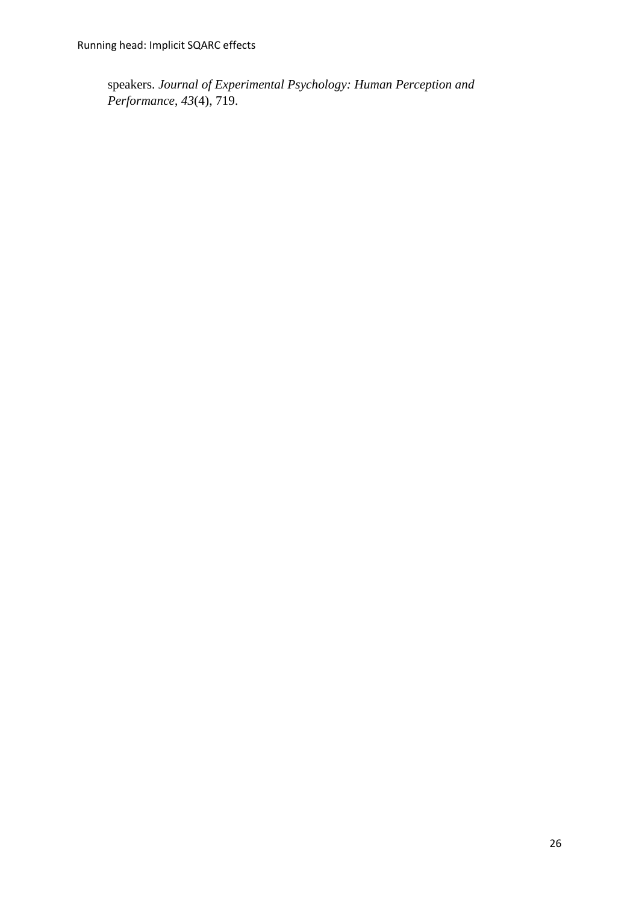speakers. *Journal of Experimental Psychology: Human Perception and Performance*, *43*(4), 719.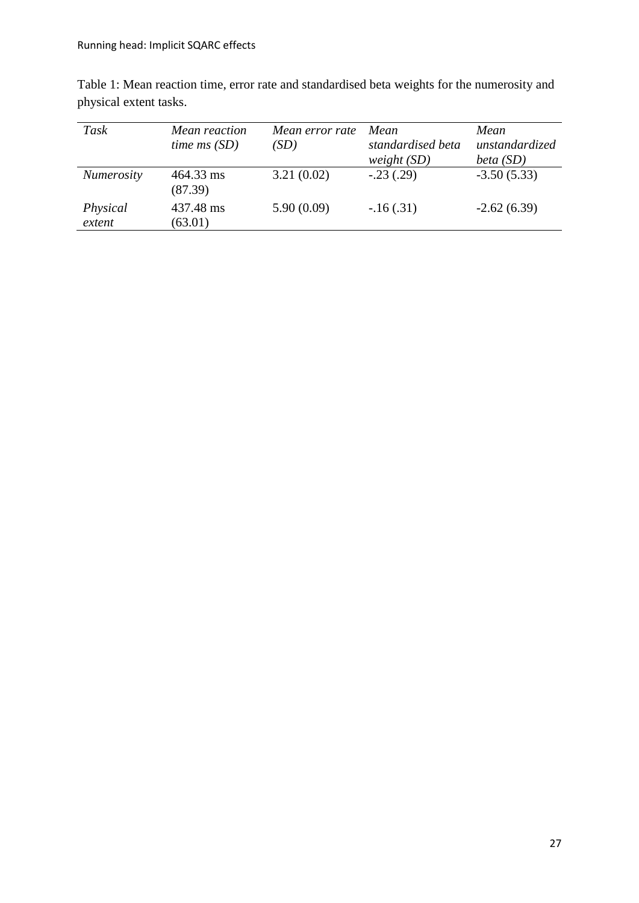| Task               | Mean reaction        | Mean error rate | Mean              | Mean           |
|--------------------|----------------------|-----------------|-------------------|----------------|
|                    | time $ms(SD)$        | (SD)            | standardised beta | unstandardized |
|                    |                      |                 | weight $(SD)$     | beta $(SD)$    |
| <b>Numerosity</b>  | 464.33 ms<br>(87.39) | 3.21(0.02)      | $-.23(.29)$       | $-3.50(5.33)$  |
| Physical<br>extent | 437.48 ms<br>(63.01) | 5.90(0.09)      | $-16(0.31)$       | $-2.62(6.39)$  |

Table 1: Mean reaction time, error rate and standardised beta weights for the numerosity and physical extent tasks.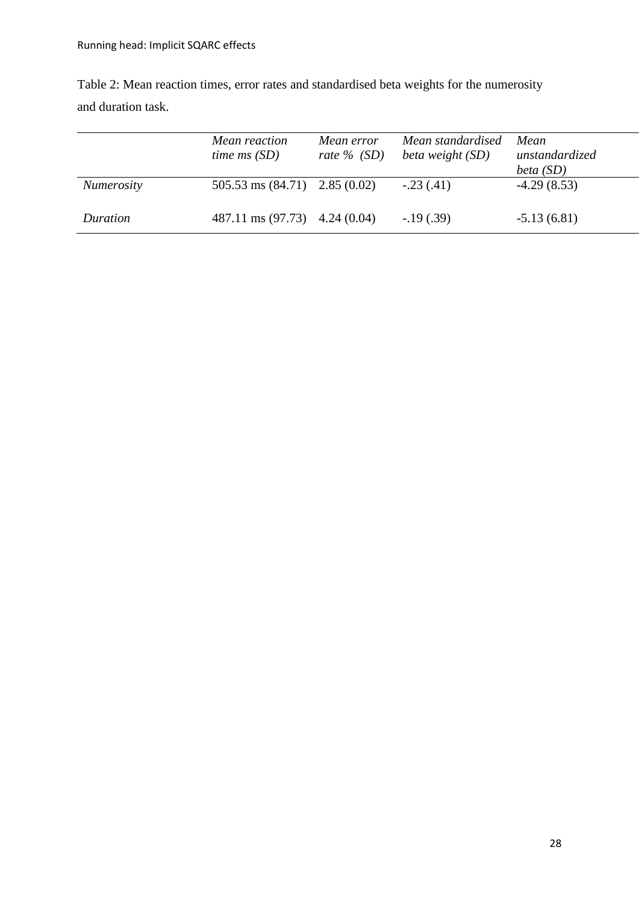|                   | Mean reaction<br>time $ms(SD)$            | Mean error<br>rate $\%$ (SD) | Mean standardised<br>beta weight (SD) | Mean<br>unstandardized<br>beta (SD) |
|-------------------|-------------------------------------------|------------------------------|---------------------------------------|-------------------------------------|
| <b>Numerosity</b> | $505.53 \text{ ms} (84.71)$ $2.85 (0.02)$ |                              | $-.23(.41)$                           | $-4.29(8.53)$                       |
| Duration          | 487.11 ms $(97.73)$ 4.24 $(0.04)$         |                              | $-19(0.39)$                           | $-5.13(6.81)$                       |

Table 2: Mean reaction times, error rates and standardised beta weights for the numerosity and duration task.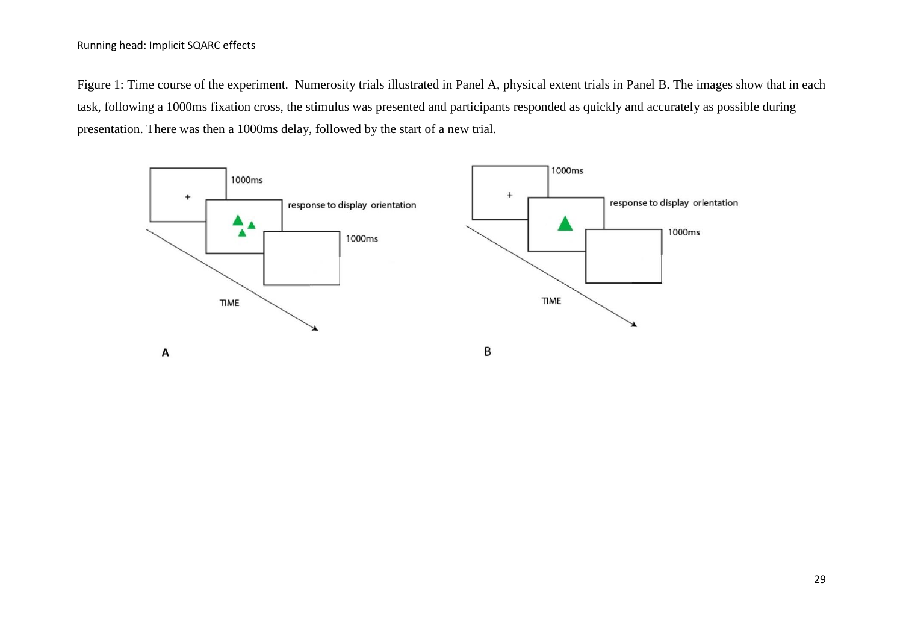Figure 1: Time course of the experiment. Numerosity trials illustrated in Panel A, physical extent trials in Panel B. The images show that in each task, following a 1000ms fixation cross, the stimulus was presented and participants responded as quickly and accurately as possible during presentation. There was then a 1000ms delay, followed by the start of a new trial.

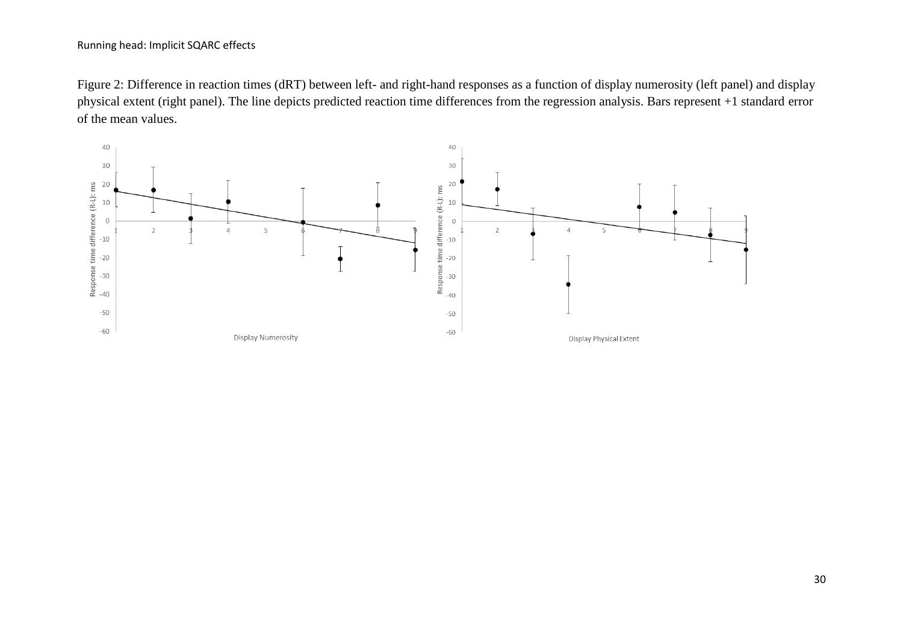Figure 2: Difference in reaction times (dRT) between left- and right-hand responses as a function of display numerosity (left panel) and display physical extent (right panel). The line depicts predicted reaction time differences from the regression analysis. Bars represent +1 standard error of the mean values.

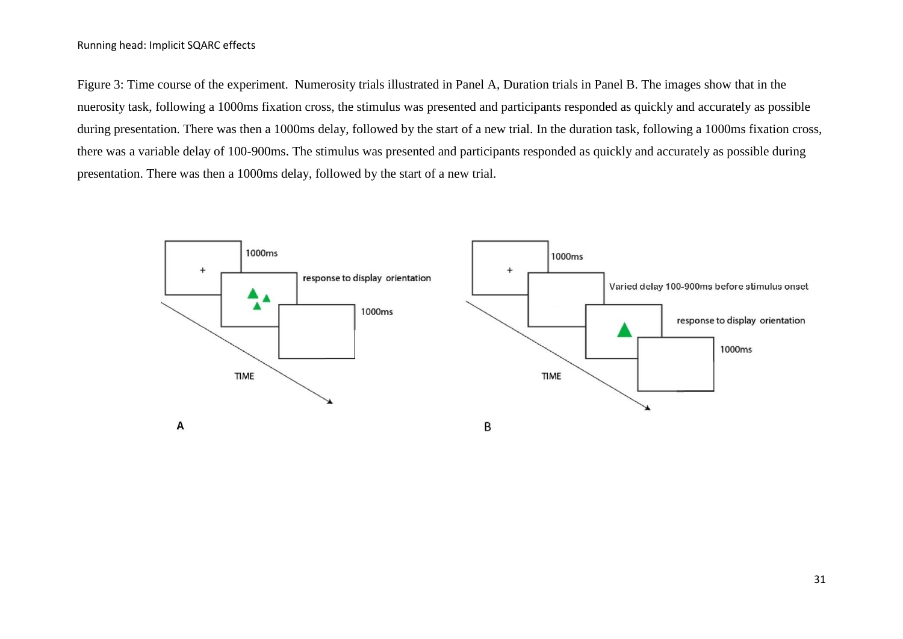Figure 3: Time course of the experiment. Numerosity trials illustrated in Panel A, Duration trials in Panel B. The images show that in the nuerosity task, following a 1000ms fixation cross, the stimulus was presented and participants responded as quickly and accurately as possible during presentation. There was then a 1000ms delay, followed by the start of a new trial. In the duration task, following a 1000ms fixation cross, there was a variable delay of 100-900ms. The stimulus was presented and participants responded as quickly and accurately as possible during presentation. There was then a 1000ms delay, followed by the start of a new trial.